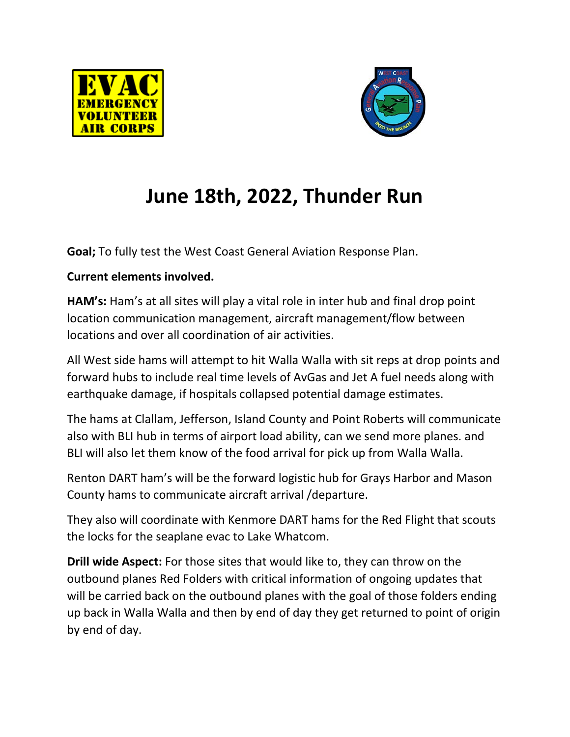



# **June 18th, 2022, Thunder Run**

**Goal;** To fully test the West Coast General Aviation Response Plan.

## **Current elements involved.**

**HAM's:** Ham's at all sites will play a vital role in inter hub and final drop point location communication management, aircraft management/flow between locations and over all coordination of air activities.

All West side hams will attempt to hit Walla Walla with sit reps at drop points and forward hubs to include real time levels of AvGas and Jet A fuel needs along with earthquake damage, if hospitals collapsed potential damage estimates.

The hams at Clallam, Jefferson, Island County and Point Roberts will communicate also with BLI hub in terms of airport load ability, can we send more planes. and BLI will also let them know of the food arrival for pick up from Walla Walla.

Renton DART ham's will be the forward logistic hub for Grays Harbor and Mason County hams to communicate aircraft arrival /departure.

They also will coordinate with Kenmore DART hams for the Red Flight that scouts the locks for the seaplane evac to Lake Whatcom.

**Drill wide Aspect:** For those sites that would like to, they can throw on the outbound planes Red Folders with critical information of ongoing updates that will be carried back on the outbound planes with the goal of those folders ending up back in Walla Walla and then by end of day they get returned to point of origin by end of day.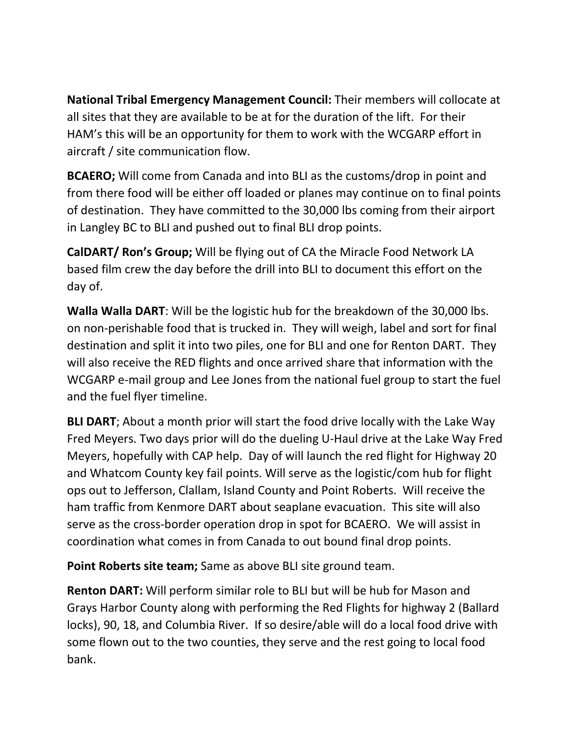**National Tribal Emergency Management Council:** Their members will collocate at all sites that they are available to be at for the duration of the lift. For their HAM's this will be an opportunity for them to work with the WCGARP effort in aircraft / site communication flow.

**BCAERO;** Will come from Canada and into BLI as the customs/drop in point and from there food will be either off loaded or planes may continue on to final points of destination. They have committed to the 30,000 lbs coming from their airport in Langley BC to BLI and pushed out to final BLI drop points.

**CalDART/ Ron's Group;** Will be flying out of CA the Miracle Food Network LA based film crew the day before the drill into BLI to document this effort on the day of.

**Walla Walla DART**: Will be the logistic hub for the breakdown of the 30,000 lbs. on non-perishable food that is trucked in. They will weigh, label and sort for final destination and split it into two piles, one for BLI and one for Renton DART. They will also receive the RED flights and once arrived share that information with the WCGARP e-mail group and Lee Jones from the national fuel group to start the fuel and the fuel flyer timeline.

**BLI DART**; About a month prior will start the food drive locally with the Lake Way Fred Meyers. Two days prior will do the dueling U-Haul drive at the Lake Way Fred Meyers, hopefully with CAP help. Day of will launch the red flight for Highway 20 and Whatcom County key fail points. Will serve as the logistic/com hub for flight ops out to Jefferson, Clallam, Island County and Point Roberts. Will receive the ham traffic from Kenmore DART about seaplane evacuation. This site will also serve as the cross-border operation drop in spot for BCAERO. We will assist in coordination what comes in from Canada to out bound final drop points.

**Point Roberts site team;** Same as above BLI site ground team.

**Renton DART:** Will perform similar role to BLI but will be hub for Mason and Grays Harbor County along with performing the Red Flights for highway 2 (Ballard locks), 90, 18, and Columbia River. If so desire/able will do a local food drive with some flown out to the two counties, they serve and the rest going to local food bank.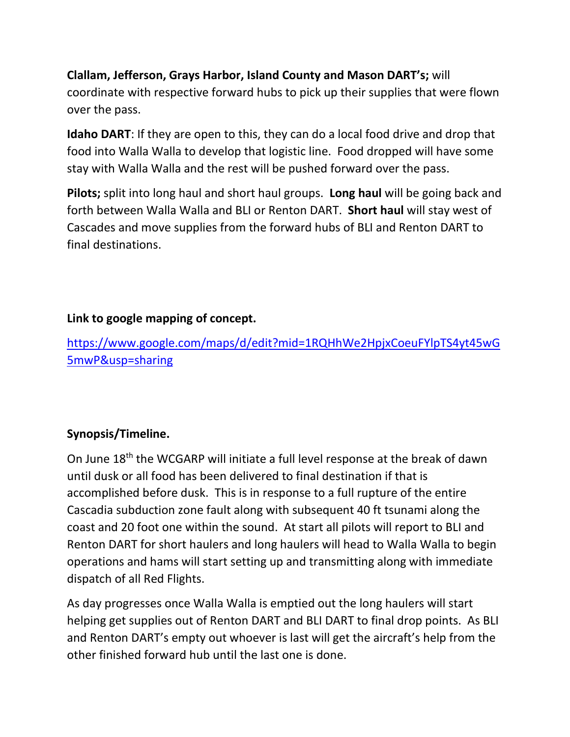## **Clallam, Jefferson, Grays Harbor, Island County and Mason DART's;** will coordinate with respective forward hubs to pick up their supplies that were flown over the pass.

**Idaho DART**: If they are open to this, they can do a local food drive and drop that food into Walla Walla to develop that logistic line. Food dropped will have some stay with Walla Walla and the rest will be pushed forward over the pass.

**Pilots;** split into long haul and short haul groups. **Long haul** will be going back and forth between Walla Walla and BLI or Renton DART. **Short haul** will stay west of Cascades and move supplies from the forward hubs of BLI and Renton DART to final destinations.

## **Link to google mapping of concept.**

[https://www.google.com/maps/d/edit?mid=1RQHhWe2HpjxCoeuFYlpTS4yt45wG](https://www.google.com/maps/d/edit?mid=1RQHhWe2HpjxCoeuFYlpTS4yt45wG5mwP&usp=sharing) [5mwP&usp=sharing](https://www.google.com/maps/d/edit?mid=1RQHhWe2HpjxCoeuFYlpTS4yt45wG5mwP&usp=sharing)

## **Synopsis/Timeline.**

On June 18<sup>th</sup> the WCGARP will initiate a full level response at the break of dawn until dusk or all food has been delivered to final destination if that is accomplished before dusk. This is in response to a full rupture of the entire Cascadia subduction zone fault along with subsequent 40 ft tsunami along the coast and 20 foot one within the sound. At start all pilots will report to BLI and Renton DART for short haulers and long haulers will head to Walla Walla to begin operations and hams will start setting up and transmitting along with immediate dispatch of all Red Flights.

As day progresses once Walla Walla is emptied out the long haulers will start helping get supplies out of Renton DART and BLI DART to final drop points. As BLI and Renton DART's empty out whoever is last will get the aircraft's help from the other finished forward hub until the last one is done.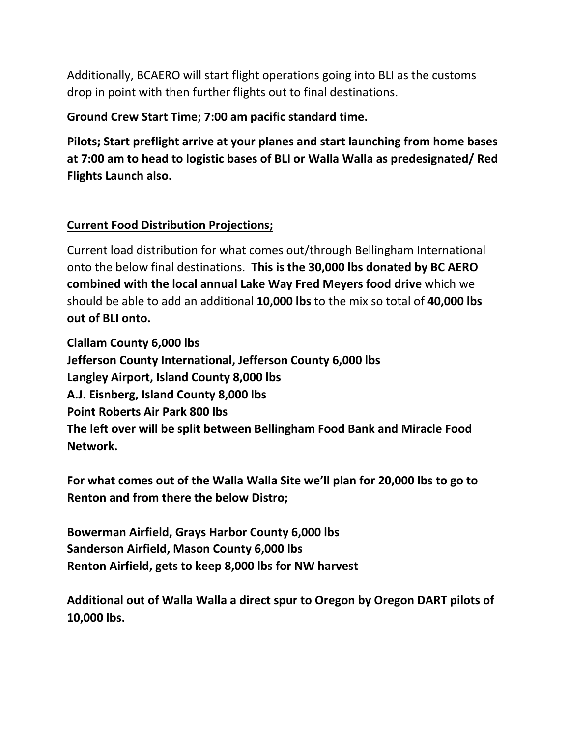Additionally, BCAERO will start flight operations going into BLI as the customs drop in point with then further flights out to final destinations.

### **Ground Crew Start Time; 7:00 am pacific standard time.**

**Pilots; Start preflight arrive at your planes and start launching from home bases at 7:00 am to head to logistic bases of BLI or Walla Walla as predesignated/ Red Flights Launch also.**

## **Current Food Distribution Projections;**

Current load distribution for what comes out/through Bellingham International onto the below final destinations. **This is the 30,000 lbs donated by BC AERO combined with the local annual Lake Way Fred Meyers food drive** which we should be able to add an additional **10,000 lbs** to the mix so total of **40,000 lbs out of BLI onto.**

**Clallam County 6,000 lbs Jefferson County International, Jefferson County 6,000 lbs Langley Airport, Island County 8,000 lbs A.J. Eisnberg, Island County 8,000 lbs Point Roberts Air Park 800 lbs The left over will be split between Bellingham Food Bank and Miracle Food Network.**

**For what comes out of the Walla Walla Site we'll plan for 20,000 lbs to go to Renton and from there the below Distro;**

**Bowerman Airfield, Grays Harbor County 6,000 lbs Sanderson Airfield, Mason County 6,000 lbs Renton Airfield, gets to keep 8,000 lbs for NW harvest**

**Additional out of Walla Walla a direct spur to Oregon by Oregon DART pilots of 10,000 lbs.**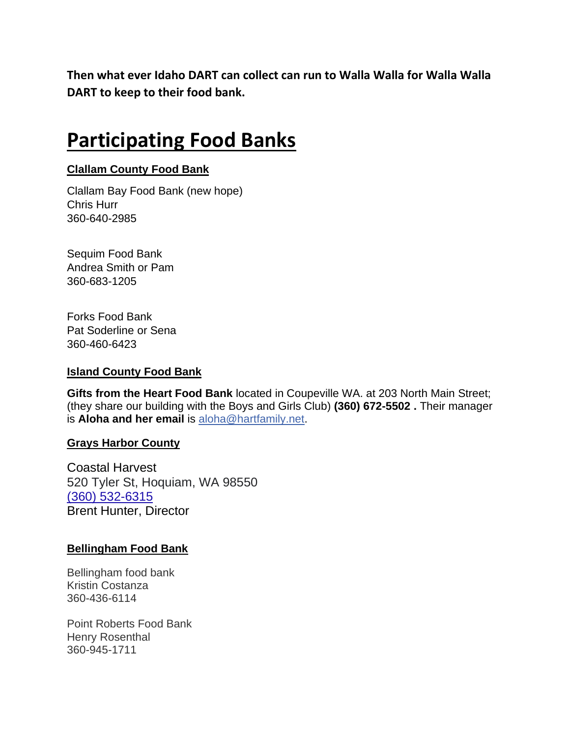**Then what ever Idaho DART can collect can run to Walla Walla for Walla Walla DART to keep to their food bank.**

## **Participating Food Banks**

### **Clallam County Food Bank**

Clallam Bay Food Bank (new hope) Chris Hurr 360-640-2985

Sequim Food Bank Andrea Smith or Pam 360-683-1205

Forks Food Bank Pat Soderline or Sena 360-460-6423

#### **Island County Food Bank**

**Gifts from the Heart Food Bank** located in Coupeville WA. at 203 North Main Street; (they share our building with the Boys and Girls Club) **(360) 672-5502 .** Their manager is **Aloha and her email** is [aloha@hartfamily.net.](mailto:aloha@hartfamily.net)

#### **Grays Harbor County**

Coastal Harvest 520 Tyler St, Hoquiam, WA 98550 [\(360\) 532-6315](https://www.google.com/search?q=Coastal+Harvest&rlz=1C1EJFA_enUS718US718&oq=Coastal+Harvest&aqs=chrome..69i57j46i39i175i199j46i199i465i512j46i175i199i512j0i512l3j69i61.4596j0j7&sourceid=chrome&ie=UTF-8) Brent Hunter, Director

#### **Bellingham Food Bank**

Bellingham food bank Kristin Costanza 360-436-6114

Point Roberts Food Bank Henry Rosenthal 360-945-1711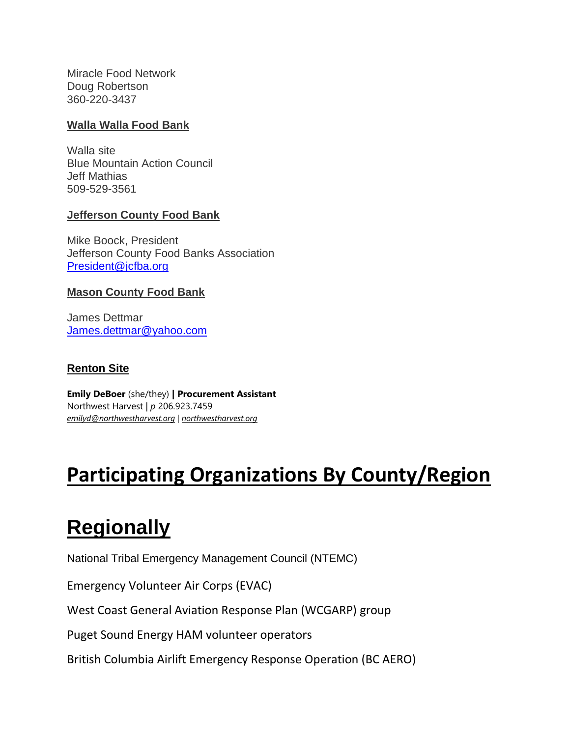Miracle Food Network Doug Robertson 360-220-3437

#### **Walla Walla Food Bank**

Walla site Blue Mountain Action Council Jeff Mathias 509-529-3561

### **Jefferson County Food Bank**

Mike Boock, President Jefferson County Food Banks Association [President@jcfba.org](mailto:President@jcfba.org)

#### **Mason County Food Bank**

James Dettmar [James.dettmar@yahoo.com](mailto:James.dettmar@yahoo.com)

### **Renton Site**

**Emily DeBoer** (she/they) **| Procurement Assistant** Northwest Harvest | *p* 206.923.7459 *[emilyd@northwestharvest.org](mailto:emilyd@northwestharvest.org)* | *[northwestharvest.org](https://nam12.safelinks.protection.outlook.com/?url=http%3A%2F%2Fwww.northwestharvest.org%2F&data=04%7C01%7Cmarik%40northwestharvest.org%7Ca8a0acb73bd34e9cc8d808d9e105cab8%7Cbe72fbd0df6a49fa828b7dff20c190ab%7C0%7C0%7C637788237278676998%7CUnknown%7CTWFpbGZsb3d8eyJWIjoiMC4wLjAwMDAiLCJQIjoiV2luMzIiLCJBTiI6Ik1haWwiLCJXVCI6Mn0%3D%7C3000&sdata=tP5YFLN9DSmhS7GAe543aLpXMjaRf0TSaqC6ValKjSU%3D&reserved=0)*

## **Participating Organizations By County/Region**

## **Regionally**

National Tribal Emergency Management Council (NTEMC)

Emergency Volunteer Air Corps (EVAC)

West Coast General Aviation Response Plan (WCGARP) group

Puget Sound Energy HAM volunteer operators

British Columbia Airlift Emergency Response Operation (BC AERO)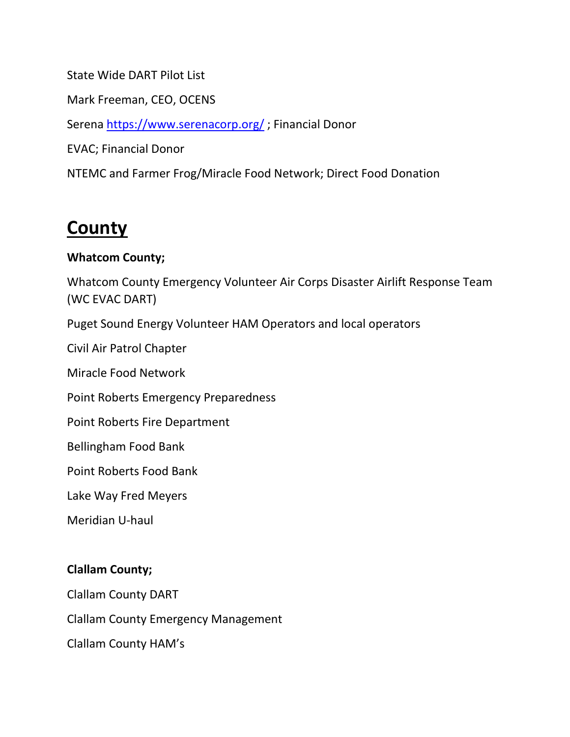State Wide DART Pilot List Mark Freeman, CEO, OCENS Serena<https://www.serenacorp.org/> ; Financial Donor EVAC; Financial Donor NTEMC and Farmer Frog/Miracle Food Network; Direct Food Donation

## **County**

### **Whatcom County;**

Whatcom County Emergency Volunteer Air Corps Disaster Airlift Response Team (WC EVAC DART)

Puget Sound Energy Volunteer HAM Operators and local operators

Civil Air Patrol Chapter

Miracle Food Network

Point Roberts Emergency Preparedness

Point Roberts Fire Department

Bellingham Food Bank

Point Roberts Food Bank

Lake Way Fred Meyers

Meridian U-haul

### **Clallam County;**

Clallam County DART

Clallam County Emergency Management

Clallam County HAM's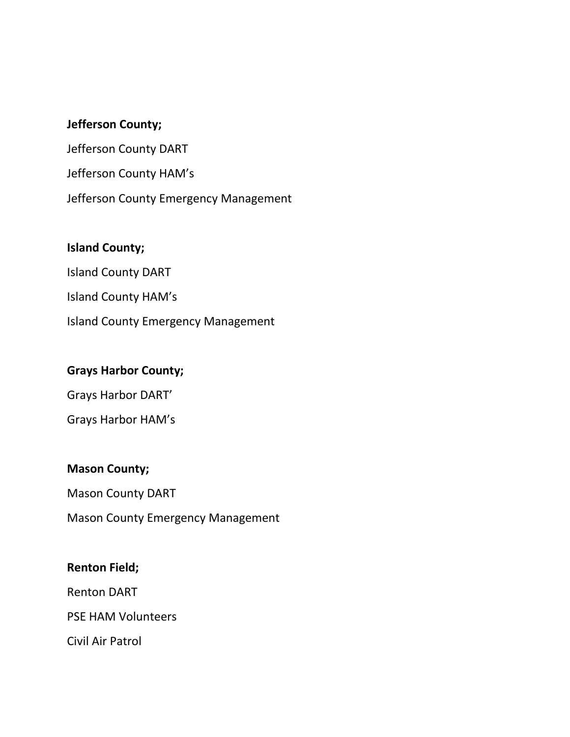### **Jefferson County;**

Jefferson County DART Jefferson County HAM's Jefferson County Emergency Management

### **Island County;**

Island County DART Island County HAM's Island County Emergency Management

### **Grays Harbor County;**

Grays Harbor DART'

Grays Harbor HAM's

### **Mason County;**

Mason County DART Mason County Emergency Management

### **Renton Field;**

Renton DART

PSE HAM Volunteers

Civil Air Patrol